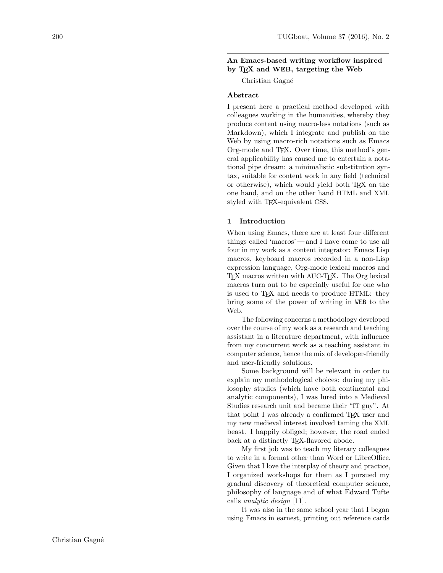# An Emacs-based writing workflow inspired by TEX and WEB, targeting the Web

Christian Gagné

## Abstract

I present here a practical method developed with colleagues working in the humanities, whereby they produce content using macro-less notations (such as Markdown), which I integrate and publish on the Web by using macro-rich notations such as Emacs Org-mode and TEX. Over time, this method's general applicability has caused me to entertain a notational pipe dream: a minimalistic substitution syntax, suitable for content work in any field (technical or otherwise), which would yield both T<sub>EX</sub> on the one hand, and on the other hand HTML and XML styled with T<sub>EX</sub>-equivalent CSS.

## 1 Introduction

When using Emacs, there are at least four different things called 'macros'— and I have come to use all four in my work as a content integrator: Emacs Lisp macros, keyboard macros recorded in a non-Lisp expression language, Org-mode lexical macros and TEX macros written with AUC-TEX. The Org lexical macros turn out to be especially useful for one who is used to TEX and needs to produce HTML: they bring some of the power of writing in WEB to the Web.

The following concerns a methodology developed over the course of my work as a research and teaching assistant in a literature department, with influence from my concurrent work as a teaching assistant in computer science, hence the mix of developer-friendly and user-friendly solutions.

Some background will be relevant in order to explain my methodological choices: during my philosophy studies (which have both continental and analytic components), I was lured into a Medieval Studies research unit and became their "IT guy". At that point I was already a confirmed T<sub>E</sub>X user and my new medieval interest involved taming the XML beast. I happily obliged; however, the road ended back at a distinctly T<sub>E</sub>X-flavored abode.

My first job was to teach my literary colleagues to write in a format other than Word or LibreOffice. Given that I love the interplay of theory and practice, I organized workshops for them as I pursued my gradual discovery of theoretical computer science, philosophy of language and of what Edward Tufte calls analytic design [\[11\]](#page-3-0).

It was also in the same school year that I began using Emacs in earnest, printing out reference cards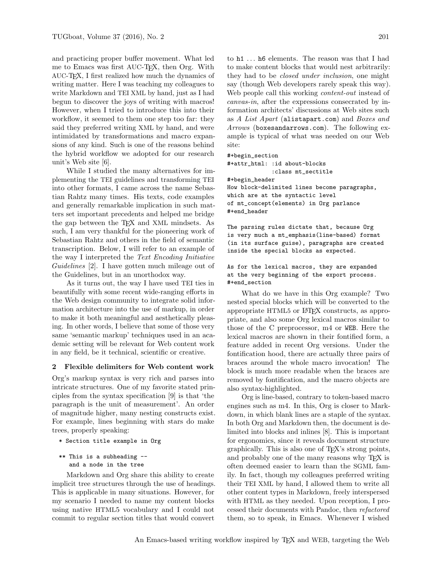and practicing proper buffer movement. What led me to Emacs was first AUC-TEX, then Org. With AUC-TEX, I first realized how much the dynamics of writing matter. Here I was teaching my colleagues to write Markdown and TEI XML by hand, just as I had begun to discover the joys of writing with macros! However, when I tried to introduce this into their workflow, it seemed to them one step too far: they said they preferred writing XML by hand, and were intimidated by transformations and macro expansions of any kind. Such is one of the reasons behind the hybrid workflow we adopted for our research unit's Web site [\[6\]](#page-3-1).

While I studied the many alternatives for implementing the TEI guidelines and transforming TEI into other formats, I came across the name Sebastian Rahtz many times. His texts, code examples and generally remarkable implication in such matters set important precedents and helped me bridge the gap between the TEX and XML mindsets. As such, I am very thankful for the pioneering work of Sebastian Rahtz and others in the field of semantic transcription. Below, I will refer to an example of the way I interpreted the Text Encoding Initiative Guidelines [\[2\]](#page-3-2). I have gotten much mileage out of the Guidelines, but in an unorthodox way.

As it turns out, the way I have used TEI ties in beautifully with some recent wide-ranging efforts in the Web design community to integrate solid information architecture into the use of markup, in order to make it both meaningful and aesthetically pleasing. In other words, I believe that some of those very same 'semantic markup' techniques used in an academic setting will be relevant for Web content work in any field, be it technical, scientific or creative.

### 2 Flexible delimiters for Web content work

Org's markup syntax is very rich and parses into intricate structures. One of my favorite stated principles from the syntax specification [\[9\]](#page-3-3) is that 'the paragraph is the unit of measurement'. An order of magnitude higher, many nesting constructs exist. For example, lines beginning with stars do make trees, properly speaking:

#### \* Section title example in Org

\*\* This is a subheading - and a node in the tree

Markdown and Org share this ability to create implicit tree structures through the use of headings. This is applicable in many situations. However, for my scenario I needed to name my content blocks using native HTML5 vocabulary and I could not commit to regular section titles that would convert

to h1 . . . h6 elements. The reason was that I had to make content blocks that would nest arbitrarily: they had to be *closed under inclusion*, one might say (though Web developers rarely speak this way). Web people call this working *content-out* instead of canvas-in, after the expressions consecrated by information architects' discussions at Web sites such as A List Apart (<alistapart.com>) and Boxes and  $Arrows$  (<boxesandarrows.com>). The following example is typical of what was needed on our Web site:

#+begin\_section #+attr\_html: :id about-blocks

:class mt\_sectitle

```
#+begin_header
```
How block-delimited lines become paragraphs, which are at the syntactic level of mt\_concept(elements) in Org parlance #+end\_header

The parsing rules dictate that, because Org is very much a mt\_emphasis(line-based) format (in its surface guise), paragraphs are created inside the special blocks as expected.

As for the lexical macros, they are expanded at the very beginning of the export process. #+end\_section

What do we have in this Org example? Two nested special blocks which will be converted to the appropriate HTML5 or L<sup>AT</sup>FX constructs, as appropriate, and also some Org lexical macros similar to those of the C preprocessor, m4 or WEB. Here the lexical macros are shown in their fontified form, a feature added in recent Org versions. Under the fontification hood, there are actually three pairs of braces around the whole macro invocation! The block is much more readable when the braces are removed by fontification, and the macro objects are also syntax-highlighted.

Org is line-based, contrary to token-based macro engines such as m4. In this, Org is closer to Markdown, in which blank lines are a staple of the syntax. In both Org and Markdown then, the document is delimited into blocks and inlines [\[8\]](#page-3-4). This is important for ergonomics, since it reveals document structure graphically. This is also one of TEX's strong points, and probably one of the many reasons why TEX is often deemed easier to learn than the SGML family. In fact, though my colleagues preferred writing their TEI XML by hand, I allowed them to write all other content types in Markdown, freely interspersed with HTML as they needed. Upon reception, I processed their documents with Pandoc, then refactored them, so to speak, in Emacs. Whenever I wished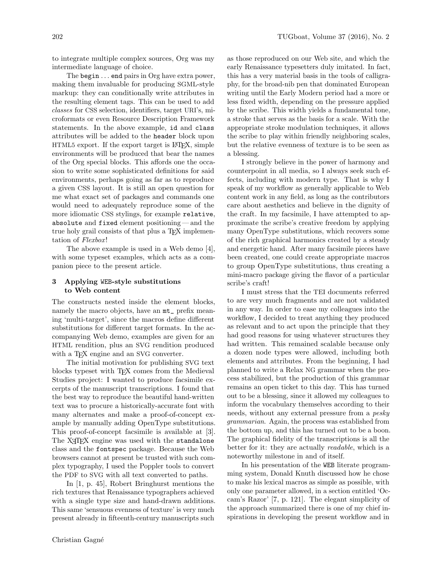to integrate multiple complex sources, Org was my intermediate language of choice.

The begin . . . end pairs in Org have extra power, making them invaluable for producing SGML-style markup: they can conditionally write attributes in the resulting element tags. This can be used to add classes for CSS selection, identifiers, target URI's, microformats or even Resource Description Framework statements. In the above example, id and class attributes will be added to the header block upon HTML5 export. If the export target is LATEX, simple environments will be produced that bear the names of the Org special blocks. This affords one the occasion to write some sophisticated definitions for said environments, perhaps going as far as to reproduce a given CSS layout. It is still an open question for me what exact set of packages and commands one would need to adequately reproduce some of the more idiomatic CSS stylings, for example relative, absolute and fixed element positioning — and the true holy grail consists of that plus a T<sub>E</sub>X implementation of Flexbox!

The above example is used in a Web demo [\[4\]](#page-3-5), with some typeset examples, which acts as a companion piece to the present article.

## 3 Applying WEB-style substitutions to Web content

The constructs nested inside the element blocks, namely the macro objects, have an  $m t$  prefix meaning 'multi-target', since the macros define different substitutions for different target formats. In the accompanying Web demo, examples are given for an HTML rendition, plus an SVG rendition produced with a TEX engine and an SVG converter.

The initial motivation for publishing SVG text blocks typeset with TEX comes from the Medieval Studies project: I wanted to produce facsimile excerpts of the manuscript transcriptions. I found that the best way to reproduce the beautiful hand-written text was to procure a historically-accurate font with many alternates and make a proof-of-concept example by manually adding OpenType substitutions. This proof-of-concept facsimile is available at [\[3\]](#page-3-6). The X<sub>T</sub>IFX engine was used with the standalone class and the fontspec package. Because the Web browsers cannot at present be trusted with such complex typography, I used the Poppler tools to convert the PDF to SVG with all text converted to paths.

In [\[1,](#page-3-7) p. 45], Robert Bringhurst mentions the rich textures that Renaissance typographers achieved with a single type size and hand-drawn additions. This same 'sensuous evenness of texture' is very much present already in fifteenth-century manuscripts such

as those reproduced on our Web site, and which the early Renaissance typesetters duly imitated. In fact, this has a very material basis in the tools of calligraphy, for the broad-nib pen that dominated European writing until the Early Modern period had a more or less fixed width, depending on the pressure applied by the scribe. This width yields a fundamental tone, a stroke that serves as the basis for a scale. With the appropriate stroke modulation techniques, it allows the scribe to play within friendly neighboring scales, but the relative evenness of texture is to be seen as a blessing.

I strongly believe in the power of harmony and counterpoint in all media, so I always seek such effects, including with modern type. That is why I speak of my workflow as generally applicable to Web content work in any field, as long as the contributors care about aesthetics and believe in the dignity of the craft. In my facsimile, I have attempted to approximate the scribe's creative freedom by applying many OpenType substitutions, which recovers some of the rich graphical harmonics created by a steady and energetic hand. After many facsimile pieces have been created, one could create appropriate macros to group OpenType substitutions, thus creating a mini-macro package giving the flavor of a particular scribe's craft!

I must stress that the TEI documents referred to are very much fragments and are not validated in any way. In order to ease my colleagues into the workflow, I decided to treat anything they produced as relevant and to act upon the principle that they had good reasons for using whatever structures they had written. This remained scalable because only a dozen node types were allowed, including both elements and attributes. From the beginning, I had planned to write a Relax NG grammar when the process stabilized, but the production of this grammar remains an open ticket to this day. This has turned out to be a blessing, since it allowed my colleagues to inform the vocabulary themselves according to their needs, without any external pressure from a *pesky* grammarian. Again, the process was established from the bottom up, and this has turned out to be a boon. The graphical fidelity of the transcriptions is all the better for it: they are actually *readable*, which is a noteworthy milestone in and of itself.

In his presentation of the WEB literate programming system, Donald Knuth discussed how he chose to make his lexical macros as simple as possible, with only one parameter allowed, in a section entitled 'Occam's Razor' [\[7,](#page-3-8) p. 121]. The elegant simplicity of the approach summarized there is one of my chief inspirations in developing the present workflow and in